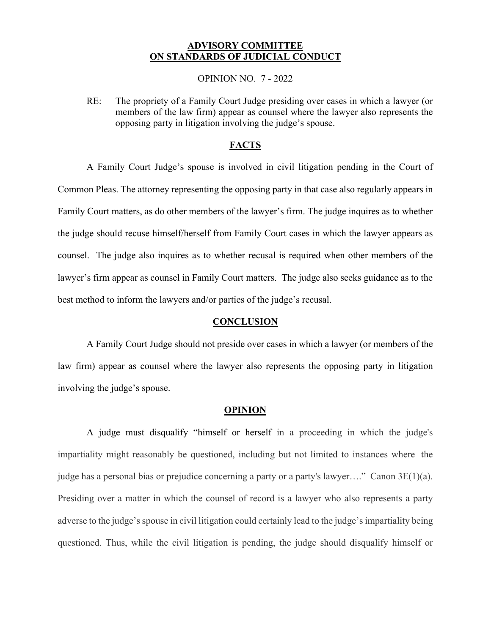# **ADVISORY COMMITTEE ON STANDARDS OF JUDICIAL CONDUCT**

#### OPINION NO. 7 - 2022

RE: The propriety of a Family Court Judge presiding over cases in which a lawyer (or members of the law firm) appear as counsel where the lawyer also represents the opposing party in litigation involving the judge's spouse.

## **FACTS**

A Family Court Judge's spouse is involved in civil litigation pending in the Court of Common Pleas. The attorney representing the opposing party in that case also regularly appears in Family Court matters, as do other members of the lawyer's firm. The judge inquires as to whether the judge should recuse himself/herself from Family Court cases in which the lawyer appears as counsel. The judge also inquires as to whether recusal is required when other members of the lawyer's firm appear as counsel in Family Court matters. The judge also seeks guidance as to the best method to inform the lawyers and/or parties of the judge's recusal.

### **CONCLUSION**

A Family Court Judge should not preside over cases in which a lawyer (or members of the law firm) appear as counsel where the lawyer also represents the opposing party in litigation involving the judge's spouse.

### **OPINION**

A judge must disqualify "himself or herself in a proceeding in which the judge's impartiality might reasonably be questioned, including but not limited to instances where the judge has a personal bias or prejudice concerning a party or a party's lawyer…." Canon 3E(1)(a). Presiding over a matter in which the counsel of record is a lawyer who also represents a party adverse to the judge's spouse in civil litigation could certainly lead to the judge's impartiality being questioned. Thus, while the civil litigation is pending, the judge should disqualify himself or